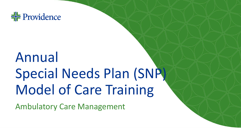

# Annual Special Needs Plan (SNP) Model of Care Training

Ambulatory Care Management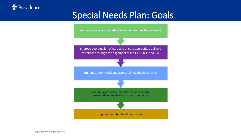#### $\frac{1}{2}$  Providence

### Special Needs Plan: Goals



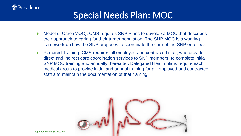### Special Needs Plan: MOC

- Improve access and affordability to member healthcare needs Model of Care (MOC): CMS requires SNP Plans to develop a MOC that describes their approach to caring for their target population. The SNP MOC is a working framework on how the SNP proposes to coordinate the care of the SNP enrollees.  $\blacktriangleright$
- Required Training: CMS requires all employed and contracted staff, who provide staff and maintain the documentation of that training. direct and indirect care coordination services to SNP members, to complete initial SNP MOC training and annually thereafter. Delegated Health plans require each medical group to provide initial and annual training for all employed and contracted  $\blacktriangleright$



Together Anything is Possible

 $\frac{1}{2}$  Providence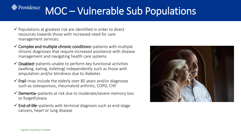#### Providence MOC – Vulnerable Sub Populations

- $\checkmark$  Populations at greatest risk are identified in order to direct resources towards those with increased need for care management services:
- $\checkmark$  Complex and multiple chronic conditions–patients with multiple chronic diagnoses that require increased assistance with disease management and navigating health care systems
- $\checkmark$  Disabled–patients unable to perform key functional activities (walking, eating, toileting) independently such as those with amputation and/or blindness due to diabetes
- $\checkmark$  Frail–may include the elderly over 85 years and/or diagnoses such as osteoporosis, rheumatoid arthritis, COPD, CHF
- $\checkmark$  Dementia–patients at risk due to moderate/severe memory loss or forgetfulness
- $\checkmark$  End-of-life-patients with terminal diagnosis such as end-stage cancers, heart or lung disease

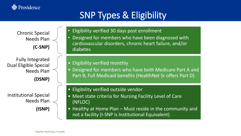#### **非** Providence

### SNP Types & Eligibility

Chronic Special Needs Plan **(C-SNP)**

Fully Integrated Dual Eligible Special Needs Plan **(DSNP)**

Institutional Special Needs Plan

**(ISNP)** 

• Eligibility verified 30 days post enrollment

- Designed for members who have been diagnosed with cardiovascular disorders, chronic heart failure, and/or diabetes
- Eligibility verified monthly
- Enhance care transitions across all healthcare settings • Designed for members who have both Medicare Part A and Part B, Full Medicaid benefits (HealthNet Sr offers Part D)
- Eligibility verified outside vendor
- Meet state criteria for Nursing Facility Level of Care (NFLOC)
- Healthy at Home Plan Must reside in the community and not a facility (I-SNP is Institutional Equivalent)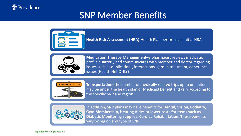

#### SNP Member Benefits



**Health Risk Assessment (HRA)**-Health Plan performs an initial HRA



**Enhance care transitions across all health Net ONLY)** issues all healthcare settings **Medication Therapy Management**–a pharmacist reviews medication profile quarterly and communicates with member and doctor regarding issues such as duplications, interactions, gaps in treatment, adherence



**Transportation**–the number of medically related trips up to unlimited may be under the health plan or Medicaid benefit and vary according to the specific SNP and region



In addition, SNP plans may have benefits for **Dental, Vision, Podiatry, Gym Membership, Hearing Aides or lower costs for items such as Diabetic Monitoring supplies, Cardiac Rehabilitation. T**hese benefits vary by region and type of SNP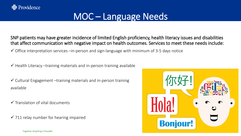#### MOC – Language Needs

SNP patients may have greater incidence of limited English proficiency, health literacy issues and disabilities that affect communication with negative impact on health outcomes. Services to meet these needs include:

 $\checkmark$  Office interpretation services –in-person and sign-language with minimum of 3-5 days notice

 $\checkmark$  Health Literacy –training materials and in-person training available

 $\checkmark$  Cultural Engagement –training materials and in-person training available

 $\checkmark$  Translation of vital documents

 $\checkmark$  711 relay number for hearing impaired

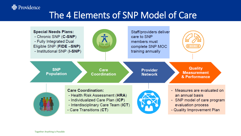### The 4 Elements of SNP Model of Care



<del>불</del> Providence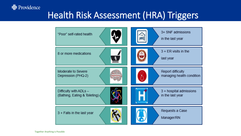# Health Risk Assessment (HRA) Triggers



**非** Providence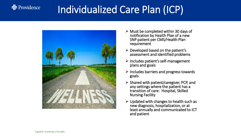#### <del>불</del> Providence

# Individualized Care Plan (ICP)



- $\triangleright$  Must be completed within 30 days of notification by Health Plan of a new SNP patient per CMS/Health Plan requirement
- $\triangleright$  Developed based on the patient's assessment and identified problems
- ➢ Includes patient's self-management plans and goals
- $\triangleright$  Includes barriers and progress towards goals
- ➢ Shared with patient/caregiver, PCP, and any settings where the patient has a transition of care: Hospital, Skilled Nursing Facility
- $\triangleright$  Updated with changes to health such as new diagnosis, hospitalization, or at least annually and communicated to ICT and patient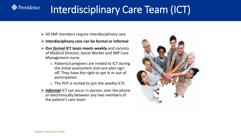# Interdisciplinary Care Team (ICT)

- $\triangleright$  All SNP members require interdisciplinary care
- ➢ **Interdisciplinary care can be formal or informal**
- ➢ **Our** *formal* **ICT team meets weekly** and consists of Medical Director, Social Worker and SNP Care Management nurse
	- o Patients/caregivers are invited to ICT during the initial assessment and care plan signoff. They have the right to opt in or out of participation.
	- $\circ$  The PCP is invited to join the weekly ICTs
- ➢ *Informal* ICT can occur in person, over the phone or electronically between any two members of the patient's care team



**非** Providence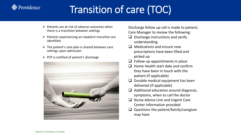# Transition of care (TOC)

- $\triangleright$  Patients are at risk of adverse outcomes when there is a transition between settings
- $\triangleright$  Patients experiencing an inpatient transition are identified
- $\triangleright$  The patient's care plan is shared between care settings upon admission
- $\triangleright$  PCP is notified of patient's discharge



Discharge follow up call is made to patient; Care Manager to review the following:

- ❑ Discharge instructions and verify understanding
- $\Box$  Medications and ensure new prescriptions have been filled and picked up
- $\Box$  Follow-up appointments in place
- ❑ Home Health start date and confirm they have been in touch with the patient (if applicable)
- $\Box$  Durable medical equipment has been delivered (if applicable)
- $\Box$  Additional education around diagnosis, symptoms, when to call the doctor
- ❑ Nurse Advice Line and Urgent Care Center information provided
- $\Box$  Questions the patient/family/caregiver may have

 $\frac{1}{2}$  Providence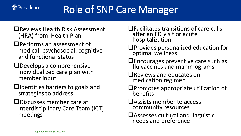

# Role of SNP Care Manager

- ❑Reviews Health Risk Assessment (HRA) from Health Plan
- ❑Performs an assessment of medical, psychosocial, cognitive and functional status
- ❑Develops a comprehensive individualized care plan with member input
- ❑Identifies barriers to goals and strategies to address
- ❑Discusses member care at Interdisciplinary Care Team (ICT) meetings
- ❑Facilitates transitions of care calls after an ED visit or acute hospitalization
- ❑Provides personalized education for optimal wellness
- ❑Encourages preventive care such as flu vaccines and mammograms
- ❑Reviews and educates on medication regimen
- ❑Promotes appropriate utilization of benefits
- ❑Assists member to access community resources
- ❑Assesses cultural and linguistic needs and preference